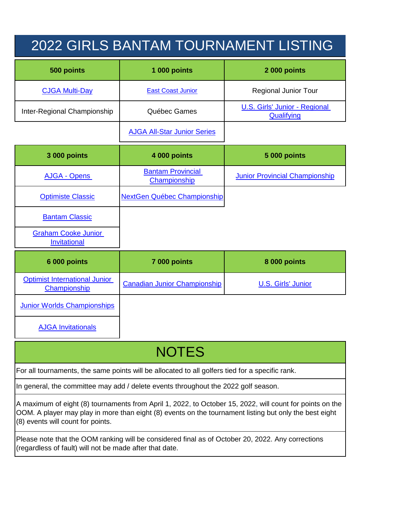## 2022 GIRLS BANTAM TOURNAMENT LISTING

| 500 points                  | 1 000 points                       | 2 000 points                                |
|-----------------------------|------------------------------------|---------------------------------------------|
| <b>CJGA Multi-Day</b>       | <b>East Coast Junior</b>           | <b>Regional Junior Tour</b>                 |
| Inter-Regional Championship | Québec Games                       | U.S. Girls' Junior - Regional<br>Qualifying |
|                             | <b>AJGA All-Star Junior Series</b> |                                             |

| 3 000 points                                      | 4 000 points                             | <b>5 000 points</b>                   |
|---------------------------------------------------|------------------------------------------|---------------------------------------|
| <b>AJGA - Opens</b>                               | <b>Bantam Provincial</b><br>Championship | <b>Junior Provincial Championship</b> |
| <b>Optimiste Classic</b>                          | <b>NextGen Québec Championship</b>       |                                       |
| <b>Bantam Classic</b>                             |                                          |                                       |
| <b>Graham Cooke Junior</b><br><b>Invitational</b> |                                          |                                       |
| $0.000 \times 10^{14}$                            | $7.000 \times 10^{14}$                   | $0.000 \times 10^{14}$                |

| 6 000 points                                         | 7 000 points                 | 8 000 points       |
|------------------------------------------------------|------------------------------|--------------------|
| <b>Optimist International Junior</b><br>Championship | Canadian Junior Championship | U.S. Girls' Junior |
| <b>Junior Worlds Championships</b>                   |                              |                    |

[AJGA Invitationals](https://www.ajga.org/schedule/2022)

## **NOTES**

For all tournaments, the same points will be allocated to all golfers tied for a specific rank.

In general, the committee may add / delete events throughout the 2022 golf season.

A maximum of eight (8) tournaments from April 1, 2022, to October 15, 2022, will count for points on the OOM. A player may play in more than eight (8) events on the tournament listing but only the best eight (8) events will count for points.

Please note that the OOM ranking will be considered final as of October 20, 2022. Any corrections (regardless of fault) will not be made after that date.